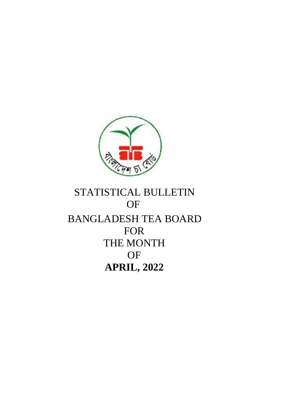

# STATISTICAL BULLETIN **OF** BANGLADESH TEA BOARD FOR THE MONTH OF **APRIL, 2022**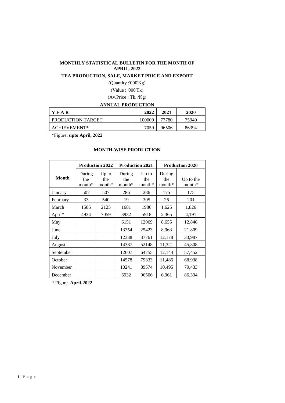### **MONTHLY STATISTICAL BULLETIN FOR THE MONTH OF APRIL, 2022**

### **TEA PRODUCTION, SALE, MARKET PRICE AND EXPORT**

(Quantity :'000'Kg) (Value : '000'Tk)

(Av.Price : Tk. /Kg)

### **ANNUAL PRODUCTION**

| YEAR              | 2022   | 2021  | 2020  |
|-------------------|--------|-------|-------|
| PRODUCTION TARGET | 100000 | 77780 | 75940 |
| ACHIEVEMENT*      | 7059   | 96506 | 86394 |

\*Figure: **upto April, 2022**

|              |                           | <b>Production 2022</b>     | <b>Production 2021</b>    |                            | <b>Production 2020</b><br>During<br>the<br>$month*$<br>175<br>175<br>26<br>201<br>1,826<br>1,625<br>4,191<br>2,365<br>8,655<br>8,963<br>21,809<br>12,178<br>33,987<br>11,321<br>45,308<br>12,144<br>57,452<br>11,486<br>68,938 |                     |  |  |
|--------------|---------------------------|----------------------------|---------------------------|----------------------------|--------------------------------------------------------------------------------------------------------------------------------------------------------------------------------------------------------------------------------|---------------------|--|--|
| <b>Month</b> | During<br>the<br>$month*$ | $Up$ to<br>the<br>$month*$ | During<br>the<br>$month*$ | $Up$ to<br>the<br>$month*$ |                                                                                                                                                                                                                                | Up to the<br>month* |  |  |
| January      | 507                       | 507                        | 286                       | 286                        |                                                                                                                                                                                                                                |                     |  |  |
| February     | 33                        | 540                        | 19                        | 305                        |                                                                                                                                                                                                                                |                     |  |  |
| March        | 1585                      | 2125                       | 1681                      | 1986                       |                                                                                                                                                                                                                                |                     |  |  |
| April*       | 4934                      | 7059                       | 3932                      | 5918                       |                                                                                                                                                                                                                                |                     |  |  |
| May          |                           |                            | 6151                      | 12069                      |                                                                                                                                                                                                                                | 12,846              |  |  |
| June         |                           |                            | 13354                     | 25423                      |                                                                                                                                                                                                                                |                     |  |  |
| July         |                           |                            | 12338                     | 37761                      |                                                                                                                                                                                                                                |                     |  |  |
| August       |                           |                            | 14387                     | 52148                      |                                                                                                                                                                                                                                |                     |  |  |
| September    |                           |                            | 12607                     | 64755                      |                                                                                                                                                                                                                                |                     |  |  |
| October      |                           |                            | 14578                     | 79333                      |                                                                                                                                                                                                                                |                     |  |  |
| November     |                           |                            | 10241                     | 89574                      | 10,495                                                                                                                                                                                                                         | 79,433              |  |  |
| December     |                           |                            | 6932                      | 96506                      | 6,961                                                                                                                                                                                                                          | 86,394              |  |  |

### **MONTH-WISE PRODUCTION**

\* Figure **April-2022**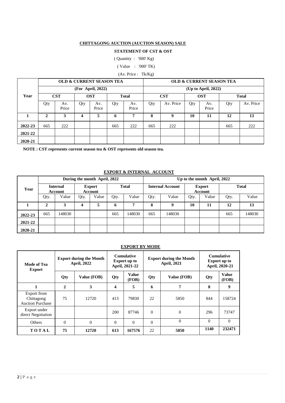#### **CHITTAGONG AUCTION (AUCTION SEASON) SALE**

### **STATEMENT OF CST & OST**

( Quantity : '000' Kg)

( Value : '000' TK)

### (Av. Price : Tk/Kg)

|         |     |              |     | <b>OLD &amp; CURRENT SEASON TEA</b> |     |              |     |            |     | <b>OLD &amp; CURRENT SEASON TEA</b> |     |              |
|---------|-----|--------------|-----|-------------------------------------|-----|--------------|-----|------------|-----|-------------------------------------|-----|--------------|
|         |     |              |     | (For April, 2022)                   |     |              |     |            |     | $Up$ to April, 2022)                |     |              |
| Year    |     | <b>CST</b>   |     | <b>OST</b>                          |     | <b>Total</b> |     | <b>CST</b> |     | <b>OST</b>                          |     | <b>Total</b> |
|         | Qty | Av.<br>Price | Qty | Av.<br>Price                        | Qty | Av.<br>Price | Qty | Av. Price  | Qty | Av.<br>Price                        | Qty | Av. Price    |
|         | 2   | 3            | 4   | 5                                   | 6   | 7            | 8   | q          | 10  | 11                                  | 12  | 13           |
| 2022-23 | 665 | 222          |     |                                     | 665 | 222          | 665 | 222        |     |                                     | 665 | 222          |
| 2021-22 |     |              |     |                                     |     |              |     |            |     |                                     |     |              |
| 2020-21 |     |              |     |                                     |     |              |     |            |     |                                     |     |              |

**NOTE : CST represents current season tea & OST represents old season tea.**

#### **EXPORT & INTERNAL ACCOUNT**

|         |      |                            |      | During the month April, 2022             |      |                         | Up to the month April, 2022 |                          |      |              |      |        |  |
|---------|------|----------------------------|------|------------------------------------------|------|-------------------------|-----------------------------|--------------------------|------|--------------|------|--------|--|
| Year    |      | <b>Internal</b><br>Account |      | <b>Total</b><br><b>Export</b><br>Account |      | <b>Internal Account</b> |                             | <b>Export</b><br>Account |      | <b>Total</b> |      |        |  |
|         | Qty. | Value                      | Qty. | Value                                    | Qty. | Value                   | Qty.                        | Value                    | Qty. | Value        | Qty. | Value  |  |
|         | 2    | 3                          | 4    | 5                                        | 6    | 7                       | 8                           | q                        | 10   | 11           | 12   | 13     |  |
| 2022-23 | 665  | 148030                     |      |                                          | 665  | 148030                  | 665                         | 148030                   |      |              | 665  | 148030 |  |
| 2021-22 |      |                            |      |                                          |      |                         |                             |                          |      |              |      |        |  |
| 2020-21 |      |                            |      |                                          |      |                         |                             |                          |      |              |      |        |  |

### **EXPORT BY MODE**

| Mode of Tea<br><b>Export</b>                         |              | <b>Export during the Month</b><br><b>April, 2022</b> |          | <b>Cumulative</b><br><b>Export up to</b><br>April, 2021-22 |          | <b>Export during the Month</b><br><b>April, 2021</b> | <b>Cumulative</b><br><b>Export up to</b><br>April, 2020-21 |                       |  |
|------------------------------------------------------|--------------|------------------------------------------------------|----------|------------------------------------------------------------|----------|------------------------------------------------------|------------------------------------------------------------|-----------------------|--|
|                                                      | Qty          | Value (FOB)                                          | Qty      | <b>Value</b><br>Qty<br>(FOB)                               |          | Value (FOB)                                          | Qty                                                        | <b>Value</b><br>(FOB) |  |
| 1                                                    | $\mathbf{2}$ | 3                                                    | 4        | 5                                                          | 6        | 7                                                    | 8                                                          | 9                     |  |
| Export from<br>Chittagong<br><b>Auction Purchase</b> | 75           | 12720                                                | 413      | 79830                                                      | 22       | 5850                                                 | 844                                                        | 158724                |  |
| Export under<br>direct Negotiation                   |              |                                                      | 200      | 87746                                                      | $\Omega$ | $\mathbf{0}$                                         | 296                                                        | 73747                 |  |
| <b>Others</b>                                        | $\mathbf{0}$ | $\Omega$                                             | $\Omega$ | $\Omega$                                                   | $\Omega$ | $\Omega$                                             | $\Omega$                                                   | $\Omega$              |  |
| TOTAL                                                | 75           | 12720                                                | 613      | 167576                                                     | 22       | 5850                                                 |                                                            | 232471                |  |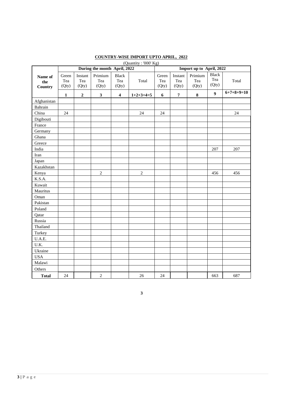| (Quantity: '000' Kg)      |                       |                         |                              |                              |                |                       |                         |                          |                              |              |
|---------------------------|-----------------------|-------------------------|------------------------------|------------------------------|----------------|-----------------------|-------------------------|--------------------------|------------------------------|--------------|
|                           |                       |                         | During the month April, 2022 |                              |                |                       |                         | Import up to April, 2022 |                              |              |
| Name of<br>the<br>Country | Green<br>Tea<br>(Qty) | Instant<br>Tea<br>(Qty) | Primium<br>Tea<br>(Qty)      | <b>Black</b><br>Tea<br>(Qty) | Total          | Green<br>Tea<br>(Qty) | Instant<br>Tea<br>(Qty) | Primium<br>Tea<br>(Qty)  | <b>Black</b><br>Tea<br>(Qty) | Total        |
|                           | $\mathbf{1}$          | $\boldsymbol{2}$        | $\mathbf{3}$                 | $\boldsymbol{4}$             | $1+2+3+4=5$    | 6                     | $\overline{7}$          | ${\bf 8}$                | $\overline{9}$               | $6+7+8+9=10$ |
| Afghanistan               |                       |                         |                              |                              |                |                       |                         |                          |                              |              |
| Bahrain                   |                       |                         |                              |                              |                |                       |                         |                          |                              |              |
| China                     | 24                    |                         |                              |                              | 24             | 24                    |                         |                          |                              | 24           |
| Digibouti                 |                       |                         |                              |                              |                |                       |                         |                          |                              |              |
| France                    |                       |                         |                              |                              |                |                       |                         |                          |                              |              |
| Germany                   |                       |                         |                              |                              |                |                       |                         |                          |                              |              |
| Ghana                     |                       |                         |                              |                              |                |                       |                         |                          |                              |              |
| Greece                    |                       |                         |                              |                              |                |                       |                         |                          |                              |              |
| India                     |                       |                         |                              |                              |                |                       |                         |                          | 207                          | 207          |
| Iran                      |                       |                         |                              |                              |                |                       |                         |                          |                              |              |
| Japan                     |                       |                         |                              |                              |                |                       |                         |                          |                              |              |
| Kazakhstan                |                       |                         |                              |                              |                |                       |                         |                          |                              |              |
| Kenya                     |                       |                         | $\overline{2}$               |                              | $\overline{2}$ |                       |                         |                          | 456                          | 456          |
| K.S.A.                    |                       |                         |                              |                              |                |                       |                         |                          |                              |              |
| Kuwait                    |                       |                         |                              |                              |                |                       |                         |                          |                              |              |
| Mauritus                  |                       |                         |                              |                              |                |                       |                         |                          |                              |              |
| Oman                      |                       |                         |                              |                              |                |                       |                         |                          |                              |              |
| Pakistan                  |                       |                         |                              |                              |                |                       |                         |                          |                              |              |
| Poland                    |                       |                         |                              |                              |                |                       |                         |                          |                              |              |
| Qatar                     |                       |                         |                              |                              |                |                       |                         |                          |                              |              |
| Russia                    |                       |                         |                              |                              |                |                       |                         |                          |                              |              |
| Thailand                  |                       |                         |                              |                              |                |                       |                         |                          |                              |              |
| Turkey                    |                       |                         |                              |                              |                |                       |                         |                          |                              |              |
| U.A.E.                    |                       |                         |                              |                              |                |                       |                         |                          |                              |              |
| U.K.                      |                       |                         |                              |                              |                |                       |                         |                          |                              |              |
| Ukraine                   |                       |                         |                              |                              |                |                       |                         |                          |                              |              |
| <b>USA</b>                |                       |                         |                              |                              |                |                       |                         |                          |                              |              |
| Malawi                    |                       |                         |                              |                              |                |                       |                         |                          |                              |              |
| Others                    |                       |                         |                              |                              |                |                       |                         |                          |                              |              |
| <b>Total</b>              | 24                    |                         | $\sqrt{2}$                   |                              | 26             | 24                    |                         |                          | 663                          | 687          |

# **COUNTRY-WISE IMPORT UPTO APRIL, 2022**

**3**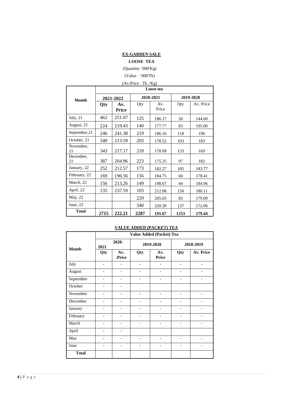### **EX-GARDEN SALE**

### **LOOSE TEA**

(Quantity :'000'Kg)

(Value : '000'Tk)

# (Av.Price : Tk. /Kg) **Loose tea**

| <b>Month</b>    |      | 2021-2022    |      | 2020-2021    | 2019-2020 |           |  |  |
|-----------------|------|--------------|------|--------------|-----------|-----------|--|--|
|                 | Qty  | Av.<br>Price | Qty  | Av.<br>Price | Qty       | Av. Price |  |  |
| July, $21$      | 462  | 251.07       | 125  | 186.17       | 50        | 144.60    |  |  |
| August, 21      | 224  | 219.43       | 149  | 177.77       | 83        | 195.00    |  |  |
| September, 21   | 246  | 241.38       | 219  | 186.16       | 118       | 190       |  |  |
| October, 21     | 340  | 213.59       | 203  | 178.52       | 193       | 183       |  |  |
| November,<br>21 | 343  | 217.17       | 218  | 178.09       | 133       | 169       |  |  |
| December,<br>21 | 387  | 204.96       | 223  | 175.25       | 97        | 182       |  |  |
| January, 22     | 252  | 212.57       | 173  | 182.27       | 105       | 183.77    |  |  |
| February, 22    | 169  | 196.56       | 156  | 184.75       | 60        | 178.41    |  |  |
| March, 22       | 156  | 213.26       | 149  | 198.67       | 44        | 184.96    |  |  |
| April, 22       | 135  | 237.59       | 103  | 212.08       | 150       | 180.11    |  |  |
| May, 22         |      |              | 229  | 205.03       | 83        | 179.09    |  |  |
| June, $22$      |      |              | 340  | 220.39       | 137       | 172.06    |  |  |
| <b>Total</b>    | 2715 | 222.21       | 2287 | 191.67       | 1253      | 179.44    |  |  |

### **VALUE ADDED (PACKET) TEA**

|              |                          |                              |                          | Value Added (Packet) Tea     |                          |                          |  |
|--------------|--------------------------|------------------------------|--------------------------|------------------------------|--------------------------|--------------------------|--|
| <b>Month</b> | 2021                     | 2020-                        |                          | 2019-2020                    | 2018-2019                |                          |  |
|              | Qty                      | Av.<br>.Price                | Qty                      | Av.<br><b>Price</b>          | Qty                      | Av. Price                |  |
| July         | $\overline{a}$           |                              | $\overline{a}$           |                              | $\overline{a}$           |                          |  |
| August       | $\overline{a}$           |                              | $\overline{a}$           |                              |                          |                          |  |
| September    | $\overline{a}$           | $\overline{\phantom{a}}$     | $\overline{\phantom{0}}$ | $\qquad \qquad -$            | $\overline{a}$           | $\overline{a}$           |  |
| October      | $\overline{a}$           | $\overline{\phantom{0}}$     |                          |                              |                          |                          |  |
| November     | $\overline{\phantom{a}}$ | $\overline{\phantom{a}}$     | $\overline{\phantom{a}}$ | $\overline{\phantom{a}}$     | $\overline{\phantom{a}}$ | $\overline{\phantom{a}}$ |  |
| December     | $\overline{a}$           | ۳                            | $\overline{\phantom{0}}$ | $\overline{a}$               | -                        |                          |  |
| January      | $\overline{a}$           |                              |                          |                              |                          |                          |  |
| February     | $\qquad \qquad -$        | $\overline{\phantom{0}}$     | $\overline{\phantom{0}}$ | $\qquad \qquad \blacksquare$ | $\overline{\phantom{0}}$ |                          |  |
| March        | $\overline{a}$           | $\overline{a}$               | $\overline{\phantom{0}}$ | $\qquad \qquad -$            | $\overline{a}$           | $\overline{a}$           |  |
| April        | $\overline{\phantom{0}}$ | $\qquad \qquad \blacksquare$ |                          |                              |                          |                          |  |
| May          | $\overline{a}$           | $\overline{\phantom{a}}$     | $\overline{\phantom{0}}$ | $\qquad \qquad -$            | $\overline{\phantom{a}}$ | $\overline{\phantom{0}}$ |  |
| June         | $\overline{a}$           | ۰                            | $\overline{\phantom{0}}$ | $\qquad \qquad -$            | $\qquad \qquad$          | $\overline{\phantom{a}}$ |  |
| <b>Total</b> |                          |                              |                          |                              |                          |                          |  |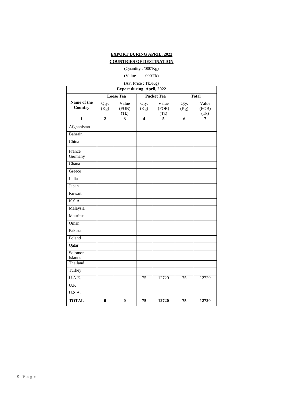# **EXPORT DURING APRIL, 2022**

# **COUNTRIES OF DESTINATION**

### (Quantity : '000'Kg) (Value : '000'Tk)

# (Av. Price : Tk./Kg)

| <b>Export during April, 2022</b> |                |                        |                         |                        |                 |                        |  |  |  |  |
|----------------------------------|----------------|------------------------|-------------------------|------------------------|-----------------|------------------------|--|--|--|--|
|                                  |                | <b>Loose Tea</b>       |                         | <b>Packet Tea</b>      |                 | <b>Total</b>           |  |  |  |  |
| Name of the<br>Country           | Qty.<br>(Kg)   | Value<br>(FOB)<br>(Tk) | Qty.<br>(Kg)            | Value<br>(FOB)<br>(Tk) | Qty.<br>(Kg)    | Value<br>(FOB)<br>(Tk) |  |  |  |  |
| $\mathbf{1}$                     | $\overline{2}$ | 3                      | $\overline{\mathbf{4}}$ | 5                      | 6               | 7                      |  |  |  |  |
| Afghanistan                      |                |                        |                         |                        |                 |                        |  |  |  |  |
| Bahrain                          |                |                        |                         |                        |                 |                        |  |  |  |  |
| China                            |                |                        |                         |                        |                 |                        |  |  |  |  |
| France                           |                |                        |                         |                        |                 |                        |  |  |  |  |
| Germany                          |                |                        |                         |                        |                 |                        |  |  |  |  |
| Ghana                            |                |                        |                         |                        |                 |                        |  |  |  |  |
| Greece                           |                |                        |                         |                        |                 |                        |  |  |  |  |
| India                            |                |                        |                         |                        |                 |                        |  |  |  |  |
| Japan                            |                |                        |                         |                        |                 |                        |  |  |  |  |
| Kuwait                           |                |                        |                         |                        |                 |                        |  |  |  |  |
| K.S.A                            |                |                        |                         |                        |                 |                        |  |  |  |  |
| Malaysia                         |                |                        |                         |                        |                 |                        |  |  |  |  |
| Mauritus                         |                |                        |                         |                        |                 |                        |  |  |  |  |
| Oman                             |                |                        |                         |                        |                 |                        |  |  |  |  |
| Pakistan                         |                |                        |                         |                        |                 |                        |  |  |  |  |
| Poland                           |                |                        |                         |                        |                 |                        |  |  |  |  |
| Qatar                            |                |                        |                         |                        |                 |                        |  |  |  |  |
| Solomon<br>Islands<br>Thailand   |                |                        |                         |                        |                 |                        |  |  |  |  |
| Turkey                           |                |                        |                         |                        |                 |                        |  |  |  |  |
| U.A.E.                           |                |                        | $\overline{75}$         | 12720                  | $\overline{75}$ | 12720                  |  |  |  |  |
| $\overline{U.K}$                 |                |                        |                         |                        |                 |                        |  |  |  |  |
| U.S.A.                           |                |                        |                         |                        |                 |                        |  |  |  |  |
| <b>TOTAL</b>                     | $\bf{0}$       | $\bf{0}$               | 75                      | 12720                  | 75              | 12720                  |  |  |  |  |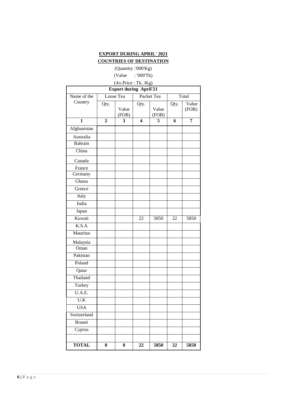## **EXPORT DURING APRIL' 2021 COUNTRIES OF DESTINATION**

(Quantity :'000'Kg)

(Value : '000'Tk)

# (Av.Price : Tk. /Kg)

| <b>Export during April'21</b> |                |            |                         |            |      |       |  |  |  |  |
|-------------------------------|----------------|------------|-------------------------|------------|------|-------|--|--|--|--|
| Name of the                   |                | Loose Tea  |                         | Packet Tea |      | Total |  |  |  |  |
| Country                       | Qty.           |            | Qty.                    |            | Qty. | Value |  |  |  |  |
|                               |                | Value      |                         | Value      |      | (FOB) |  |  |  |  |
| $\mathbf{1}$                  | $\overline{2}$ | (FOB)<br>3 | $\overline{\mathbf{4}}$ | (FOB)<br>5 | 6    | 7     |  |  |  |  |
| Afghanistan                   |                |            |                         |            |      |       |  |  |  |  |
| Australia                     |                |            |                         |            |      |       |  |  |  |  |
| Bahrain                       |                |            |                         |            |      |       |  |  |  |  |
| China                         |                |            |                         |            |      |       |  |  |  |  |
|                               |                |            |                         |            |      |       |  |  |  |  |
| Canada                        |                |            |                         |            |      |       |  |  |  |  |
| France<br>Germany             |                |            |                         |            |      |       |  |  |  |  |
| Ghana                         |                |            |                         |            |      |       |  |  |  |  |
| Greece                        |                |            |                         |            |      |       |  |  |  |  |
| Italy                         |                |            |                         |            |      |       |  |  |  |  |
| India                         |                |            |                         |            |      |       |  |  |  |  |
| Japan                         |                |            |                         |            |      |       |  |  |  |  |
| Kuwait                        |                |            | 22                      | 5850       | 22   | 5850  |  |  |  |  |
| K.S.A                         |                |            |                         |            |      |       |  |  |  |  |
| Mauritus                      |                |            |                         |            |      |       |  |  |  |  |
|                               |                |            |                         |            |      |       |  |  |  |  |
| Malaysia                      |                |            |                         |            |      |       |  |  |  |  |
| Oman                          |                |            |                         |            |      |       |  |  |  |  |
| Pakistan                      |                |            |                         |            |      |       |  |  |  |  |
| Poland                        |                |            |                         |            |      |       |  |  |  |  |
| Qatar                         |                |            |                         |            |      |       |  |  |  |  |
| Thailand                      |                |            |                         |            |      |       |  |  |  |  |
| Turkey                        |                |            |                         |            |      |       |  |  |  |  |
| U.A.E.                        |                |            |                         |            |      |       |  |  |  |  |
| U.K                           |                |            |                         |            |      |       |  |  |  |  |
| <b>USA</b>                    |                |            |                         |            |      |       |  |  |  |  |
| Switzerland                   |                |            |                         |            |      |       |  |  |  |  |
| <b>Brunei</b>                 |                |            |                         |            |      |       |  |  |  |  |
| Cyprus                        |                |            |                         |            |      |       |  |  |  |  |
|                               |                |            |                         |            |      |       |  |  |  |  |
| <b>TOTAL</b>                  | $\bf{0}$       | 0          | 22                      | 5850       | 22   | 5850  |  |  |  |  |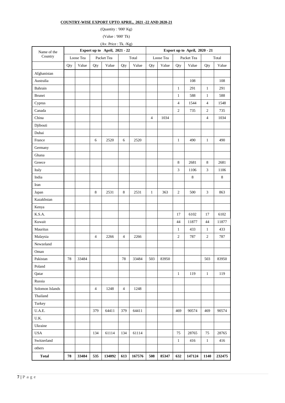#### **COUNTRY-WISE EXPORT UPTO APRIL, 2021 -22 AND 2020-21**

(Quantity : '000' Kg)

(Value : '000' Tk)

(Av. Price : Tk. /Kg)

| Name of the              |     |           | Export up to April, 2021 - 22 |            |     |        |                |           |                |            | Export up to April, 2020 - 21 |         |  |  |
|--------------------------|-----|-----------|-------------------------------|------------|-----|--------|----------------|-----------|----------------|------------|-------------------------------|---------|--|--|
| Country                  |     | Loose Tea |                               | Packet Tea |     | Total  |                | Loose Tea |                | Packet Tea | Total                         |         |  |  |
|                          | Qty | Value     | Qty                           | Value      | Qty | Value  | Qty            | Value     | Qty            | Value      | Qty                           | Value   |  |  |
| Afghanistan              |     |           |                               |            |     |        |                |           |                |            |                               |         |  |  |
| Australia                |     |           |                               |            |     |        |                |           |                | 108        |                               | 108     |  |  |
| Bahrain                  |     |           |                               |            |     |        |                |           | $\mathbf{1}$   | 291        | $\mathbf{1}$                  | 291     |  |  |
| <b>Brunei</b>            |     |           |                               |            |     |        |                |           | $\mathbf{1}$   | 588        | $\mathbf{1}$                  | 588     |  |  |
| Cyprus                   |     |           |                               |            |     |        |                |           | $\overline{4}$ | 1544       | $\overline{4}$                | 1548    |  |  |
| Canada                   |     |           |                               |            |     |        |                |           | $\overline{c}$ | 735        | $\overline{c}$                | 735     |  |  |
| China                    |     |           |                               |            |     |        | $\overline{4}$ | 1034      |                |            | $\overline{4}$                | 1034    |  |  |
| Djibouti                 |     |           |                               |            |     |        |                |           |                |            |                               |         |  |  |
| Dubai                    |     |           |                               |            |     |        |                |           |                |            |                               |         |  |  |
| France                   |     |           | 6                             | 2520       | 6   | 2520   |                |           | $\mathbf{1}$   | 490        | $\mathbf{1}$                  | 490     |  |  |
| Germany                  |     |           |                               |            |     |        |                |           |                |            |                               |         |  |  |
| Ghana                    |     |           |                               |            |     |        |                |           |                |            |                               |         |  |  |
| Greece                   |     |           |                               |            |     |        |                |           | 8              | 2681       | $\,$ 8 $\,$                   | 2681    |  |  |
| Italy                    |     |           |                               |            |     |        |                |           | $\mathfrak{Z}$ | 1106       | $\ensuremath{\mathfrak{Z}}$   | 1106    |  |  |
| India                    |     |           |                               |            |     |        |                |           |                | $\,8\,$    |                               | $\,8\,$ |  |  |
| Iran                     |     |           |                               |            |     |        |                |           |                |            |                               |         |  |  |
| Japan                    |     |           | $\,8\,$                       | 2531       | 8   | 2531   | $\mathbf{1}$   | 363       | $\overline{c}$ | 500        | $\ensuremath{\mathfrak{Z}}$   | 863     |  |  |
| Kazakhstan               |     |           |                               |            |     |        |                |           |                |            |                               |         |  |  |
| Kenya                    |     |           |                               |            |     |        |                |           |                |            |                               |         |  |  |
| K.S.A.                   |     |           |                               |            |     |        |                |           | 17             | 6102       | 17                            | 6102    |  |  |
| Kuwait                   |     |           |                               |            |     |        |                |           | 44             | 11877      | 44                            | 11877   |  |  |
| Mauritus                 |     |           |                               |            |     |        |                |           | $\mathbf{1}$   | 433        | $\mathbf{1}$                  | 433     |  |  |
| Malaysia                 |     |           | $\overline{4}$                | 2266       | 4   | 2266   |                |           | $\sqrt{2}$     | 787        | $\sqrt{2}$                    | 787     |  |  |
| Newzeland                |     |           |                               |            |     |        |                |           |                |            |                               |         |  |  |
| Oman                     |     |           |                               |            |     |        |                |           |                |            |                               |         |  |  |
| Pakistan                 | 78  | 33484     |                               |            | 78  | 33484  | 503            | 83950     |                |            | 503                           | 83950   |  |  |
| Poland                   |     |           |                               |            |     |        |                |           |                |            |                               |         |  |  |
| Qatar                    |     |           |                               |            |     |        |                |           | $\mathbf{1}$   | 119        | $\mathbf{1}$                  | 119     |  |  |
| Russia                   |     |           |                               |            |     |        |                |           |                |            |                               |         |  |  |
| Solomon Islands          |     |           | $\overline{4}$                | 1248       | 4   | 1248   |                |           |                |            |                               |         |  |  |
| Thailand                 |     |           |                               |            |     |        |                |           |                |            |                               |         |  |  |
| Turkey                   |     |           |                               |            |     |        |                |           |                |            |                               |         |  |  |
| U.A.E.                   |     |           | 379                           | 64411      | 379 | 64411  |                |           | 469            | 90574      | 469                           | 90574   |  |  |
| $\mathbf{U}.\mathbf{K}.$ |     |           |                               |            |     |        |                |           |                |            |                               |         |  |  |
| Ukraine                  |     |           |                               |            |     |        |                |           |                |            |                               |         |  |  |
| <b>USA</b>               |     |           | 134                           | 61114      | 134 | 61114  |                |           | 75             | 28765      | 75                            | 28765   |  |  |
| Switzerland              |     |           |                               |            |     |        |                |           | $\mathbf{1}$   | 416        | $\mathbf{1}$                  | 416     |  |  |
| others                   |     |           |                               |            |     |        |                |           |                |            |                               |         |  |  |
| <b>Total</b>             | 78  | 33484     | 535                           | 134092     | 613 | 167576 | 508            | 85347     | 632            | 147124     | 1140                          | 232475  |  |  |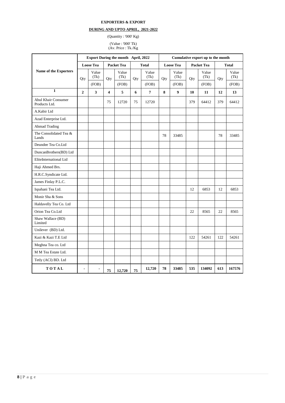#### **EXPORTERS & EXPORT**

### **DURING AND UPTO APRIL, 2021-2022**

(Quantity : '000' Kg)

(Value : '000' Tk) (Av. Price : Tk./Kg

|                                      |                          |                  |                         |               |     |                |     |                  |     | Export During the month April, 2022<br>Cumulative export up to the month |     |               |  |  |  |  |
|--------------------------------------|--------------------------|------------------|-------------------------|---------------|-----|----------------|-----|------------------|-----|--------------------------------------------------------------------------|-----|---------------|--|--|--|--|
|                                      |                          | <b>Loose Tea</b> |                         | Packet Tea    |     | <b>Total</b>   |     | <b>Loose Tea</b> |     | <b>Packet Tea</b>                                                        |     | <b>Total</b>  |  |  |  |  |
| Name of the Exporters                | Qty                      | Value<br>(Tk)    | Qty                     | Value<br>(Tk) | Qty | Value<br>(Tk)  | Qty | Value<br>(Tk)    | Qty | Value<br>(Tk)                                                            | Qty | Value<br>(Tk) |  |  |  |  |
|                                      |                          | (FOB)            |                         | (FOB)         |     | (FOB)          |     | (FOB)            |     | (FOB)                                                                    |     | (FOB)         |  |  |  |  |
| $\mathbf{1}$                         | $\overline{2}$           | $\mathbf{3}$     | $\overline{\mathbf{4}}$ | 5             | 6   | $\overline{7}$ | 8   | $\boldsymbol{9}$ | 10  | 11                                                                       | 12  | 13            |  |  |  |  |
| Abul Khair Consumer<br>Products Ltd. |                          |                  | 75                      | 12720         | 75  | 12720          |     |                  | 379 | 64412                                                                    | 379 | 64412         |  |  |  |  |
| A.Kabir Ltd                          |                          |                  |                         |               |     |                |     |                  |     |                                                                          |     |               |  |  |  |  |
| Azad Enterprise Ltd.                 |                          |                  |                         |               |     |                |     |                  |     |                                                                          |     |               |  |  |  |  |
| <b>Ahmad Trading</b>                 |                          |                  |                         |               |     |                |     |                  |     |                                                                          |     |               |  |  |  |  |
| The Consolidated Tea &<br>Lands      |                          |                  |                         |               |     |                | 78  | 33485            |     |                                                                          | 78  | 33485         |  |  |  |  |
| Deundee Tea Co.Ltd                   |                          |                  |                         |               |     |                |     |                  |     |                                                                          |     |               |  |  |  |  |
| DuncanBrothers(BD) Ltd               |                          |                  |                         |               |     |                |     |                  |     |                                                                          |     |               |  |  |  |  |
| EliteInternational Ltd               |                          |                  |                         |               |     |                |     |                  |     |                                                                          |     |               |  |  |  |  |
| Haji Ahmed Brs.                      |                          |                  |                         |               |     |                |     |                  |     |                                                                          |     |               |  |  |  |  |
| H.R.C.Syndicate Ltd.                 |                          |                  |                         |               |     |                |     |                  |     |                                                                          |     |               |  |  |  |  |
| James Finlay P.L.C.                  |                          |                  |                         |               |     |                |     |                  |     |                                                                          |     |               |  |  |  |  |
| Ispahani Tea Ltd.                    |                          |                  |                         |               |     |                |     |                  | 12  | 6853                                                                     | 12  | 6853          |  |  |  |  |
| Monir Sha & Sons                     |                          |                  |                         |               |     |                |     |                  |     |                                                                          |     |               |  |  |  |  |
| Haldavelly Tea Co. Ltd               |                          |                  |                         |               |     |                |     |                  |     |                                                                          |     |               |  |  |  |  |
| Orion Tea Co.Ltd                     |                          |                  |                         |               |     |                |     |                  | 22  | 8565                                                                     | 22  | 8565          |  |  |  |  |
| Shaw Wallace (BD)<br>Limited         |                          |                  |                         |               |     |                |     |                  |     |                                                                          |     |               |  |  |  |  |
| Unilever (BD) Ltd.                   |                          |                  |                         |               |     |                |     |                  |     |                                                                          |     |               |  |  |  |  |
| Kazi & Kazi T.E Ltd                  |                          |                  |                         |               |     |                |     |                  | 122 | 54261                                                                    | 122 | 54261         |  |  |  |  |
| Meghna Tea co. Ltd                   |                          |                  |                         |               |     |                |     |                  |     |                                                                          |     |               |  |  |  |  |
| M M Tea Estate Ltd.                  |                          |                  |                         |               |     |                |     |                  |     |                                                                          |     |               |  |  |  |  |
| Tetly (ACI) BD. Ltd                  |                          |                  |                         |               |     |                |     |                  |     |                                                                          |     |               |  |  |  |  |
| TOTAL                                | $\overline{\phantom{a}}$ | $\blacksquare$   | 75                      | 12.720        | 75  | 12,720         | 78  | 33485            | 535 | 134092                                                                   | 613 | 167576        |  |  |  |  |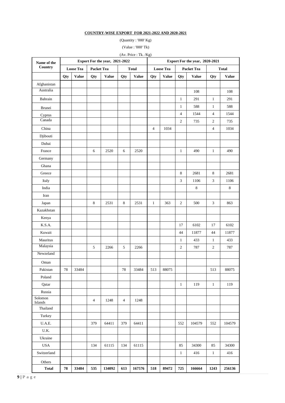### **COUNTRY-WISE EXPORT FOR 2021-2022 AND 2020-2021**

(Quantity : '000' Kg) (Value : '000' Tk)

(Av. Price : Tk. /Kg)

| Name of the        | Export For the year, 2021-2022 |                  |                   |              |              |              |                  | Export For the year, 2020-2021 |                |              |                  |              |  |
|--------------------|--------------------------------|------------------|-------------------|--------------|--------------|--------------|------------------|--------------------------------|----------------|--------------|------------------|--------------|--|
| Country            |                                | <b>Loose Tea</b> | <b>Packet Tea</b> |              | <b>Total</b> |              | <b>Loose Tea</b> |                                |                | Packet Tea   |                  | <b>Total</b> |  |
|                    | Qty                            | <b>Value</b>     | Qty               | <b>Value</b> | Qty          | <b>Value</b> | Qty              | <b>Value</b>                   | Qty            | <b>Value</b> | Qty              | <b>Value</b> |  |
| Afghanistan        |                                |                  |                   |              |              |              |                  |                                |                |              |                  |              |  |
| Australia          |                                |                  |                   |              |              |              |                  |                                |                | 108          |                  | 108          |  |
| Bahrain            |                                |                  |                   |              |              |              |                  |                                | $\mathbf{1}$   | 291          | $\,1\,$          | 291          |  |
| Brunei             |                                |                  |                   |              |              |              |                  |                                | $\mathbf{1}$   | 588          | $\mathbf{1}$     | 588          |  |
| Cyprus             |                                |                  |                   |              |              |              |                  |                                | $\overline{4}$ | 1544         | $\overline{4}$   | 1544         |  |
| Canada             |                                |                  |                   |              |              |              |                  |                                | $\overline{2}$ | 735          | $\sqrt{2}$       | 735          |  |
| China              |                                |                  |                   |              |              |              | $\overline{4}$   | 1034                           |                |              | $\overline{4}$   | 1034         |  |
| Djibouti           |                                |                  |                   |              |              |              |                  |                                |                |              |                  |              |  |
| Dubai              |                                |                  |                   |              |              |              |                  |                                |                |              |                  |              |  |
| France             |                                |                  | 6                 | 2520         | 6            | 2520         |                  |                                | $\mathbf{1}$   | 490          | $\mathbf{1}$     | 490          |  |
| Germany            |                                |                  |                   |              |              |              |                  |                                |                |              |                  |              |  |
| Ghana              |                                |                  |                   |              |              |              |                  |                                |                |              |                  |              |  |
| Greece             |                                |                  |                   |              |              |              |                  |                                | $\,8\,$        | 2681         | $\,8\,$          | 2681         |  |
| Italy              |                                |                  |                   |              |              |              |                  |                                | 3              | 1106         | 3                | 1106         |  |
| India              |                                |                  |                   |              |              |              |                  |                                |                | $\,8\,$      |                  | $\,8\,$      |  |
| Iran               |                                |                  |                   |              |              |              |                  |                                |                |              |                  |              |  |
| Japan              |                                |                  | 8                 | 2531         | 8            | 2531         | $\mathbf{1}$     | 363                            | 2              | 500          | 3                | 863          |  |
| Kazakhstan         |                                |                  |                   |              |              |              |                  |                                |                |              |                  |              |  |
| Kenya              |                                |                  |                   |              |              |              |                  |                                |                |              |                  |              |  |
| K.S.A.             |                                |                  |                   |              |              |              |                  |                                | 17             | 6102         | 17               | 6102         |  |
| Kuwait             |                                |                  |                   |              |              |              |                  |                                | 44             | 11877        | 44               | 11877        |  |
| Mauritus           |                                |                  |                   |              |              |              |                  |                                | $\mathbf{1}$   | 433          | $\mathbf{1}$     | 433          |  |
| Malaysia           |                                |                  | 5                 | 2266         | 5            | 2266         |                  |                                | $\overline{c}$ | 787          | $\boldsymbol{2}$ | 787          |  |
| Newzeland          |                                |                  |                   |              |              |              |                  |                                |                |              |                  |              |  |
| Oman               |                                |                  |                   |              |              |              |                  |                                |                |              |                  |              |  |
| Pakistan           | 78                             | 33484            |                   |              | 78           | 33484        | 513              | 88075                          |                |              | 513              | 88075        |  |
| Poland             |                                |                  |                   |              |              |              |                  |                                |                |              |                  |              |  |
| Qatar              |                                |                  |                   |              |              |              |                  |                                | $\mathbf{1}$   | 119          | $\mathbf{1}$     | 119          |  |
| Russia             |                                |                  |                   |              |              |              |                  |                                |                |              |                  |              |  |
| Solomon<br>Islands |                                |                  | 4                 | 1248         | 4            | 1248         |                  |                                |                |              |                  |              |  |
| Thailand           |                                |                  |                   |              |              |              |                  |                                |                |              |                  |              |  |
| Turkey             |                                |                  |                   |              |              |              |                  |                                |                |              |                  |              |  |
| U.A.E.             |                                |                  | 379               | 64411        | 379          | 64411        |                  |                                | 552            | 104579       | 552              | 104579       |  |
| U.K.               |                                |                  |                   |              |              |              |                  |                                |                |              |                  |              |  |
| Ukraine            |                                |                  |                   |              |              |              |                  |                                |                |              |                  |              |  |
| <b>USA</b>         |                                |                  | 134               | 61115        | 134          | 61115        |                  |                                | 85             | 34300        | 85               | 34300        |  |
| Switzerland        |                                |                  |                   |              |              |              |                  |                                | $\mathbf{1}$   | 416          | $\mathbf{1}$     | 416          |  |
| Others             |                                |                  |                   |              |              |              |                  |                                |                |              |                  |              |  |
| <b>Total</b>       | 78                             | 33484            | 535               | 134092       | 613          | 167576       | 518              | 89472                          | 725            | 166664       | 1243             | 256136       |  |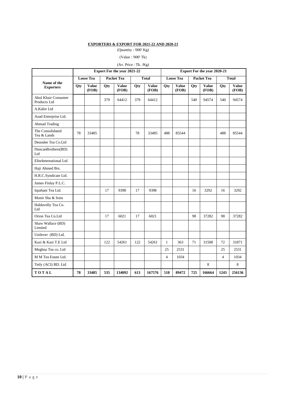#### **EXPORTERS & EXPORT FOR 2021-22 AND 2020-21**

(Quantity : '000' Kg)

(Value : '000' Tk)

### (Av. Price : Tk. /Kg)

|                                     | <b>Export For the year 2021-22</b> |                |                   |                       |              |                       | <b>Export For the year 2020-21</b> |                       |                   |                |                |                |
|-------------------------------------|------------------------------------|----------------|-------------------|-----------------------|--------------|-----------------------|------------------------------------|-----------------------|-------------------|----------------|----------------|----------------|
|                                     | <b>Loose Tea</b>                   |                | <b>Packet Tea</b> |                       | <b>Total</b> |                       | <b>Loose Tea</b>                   |                       | <b>Packet Tea</b> |                | <b>Total</b>   |                |
| Name of the<br><b>Exporters</b>     | Qty                                | Value<br>(FOB) | Qty               | <b>Value</b><br>(FOB) | Qty          | <b>Value</b><br>(FOB) | Qty                                | <b>Value</b><br>(FOB) | Qty               | Value<br>(FOB) | Qty            | Value<br>(FOB) |
| Abul Khair Consumer<br>Products Ltd |                                    |                | 379               | 64412                 | 379          | 64412                 |                                    |                       | 540               | 94574          | 540            | 94574          |
| A.Kabir Ltd                         |                                    |                |                   |                       |              |                       |                                    |                       |                   |                |                |                |
| Azad Enterprise Ltd.                |                                    |                |                   |                       |              |                       |                                    |                       |                   |                |                |                |
| <b>Ahmad Trading</b>                |                                    |                |                   |                       |              |                       |                                    |                       |                   |                |                |                |
| The Consolidated<br>Tea & Lands     | 78                                 | 33485          |                   |                       | 78           | 33485                 | 488                                | 85544                 |                   |                | 488            | 85544          |
| Deundee Tea Co.Ltd                  |                                    |                |                   |                       |              |                       |                                    |                       |                   |                |                |                |
| DuncanBrothers(BD)<br>Ltd           |                                    |                |                   |                       |              |                       |                                    |                       |                   |                |                |                |
| EliteInternational Ltd              |                                    |                |                   |                       |              |                       |                                    |                       |                   |                |                |                |
| Haji Ahmed Brs.                     |                                    |                |                   |                       |              |                       |                                    |                       |                   |                |                |                |
| H.R.C.Syndicate Ltd.                |                                    |                |                   |                       |              |                       |                                    |                       |                   |                |                |                |
| James Finlay P.L.C.                 |                                    |                |                   |                       |              |                       |                                    |                       |                   |                |                |                |
| Ispahani Tea Ltd.                   |                                    |                | 17                | 9398                  | 17           | 9398                  |                                    |                       | 16                | 3292           | 16             | 3292           |
| Monir Sha & Sons                    |                                    |                |                   |                       |              |                       |                                    |                       |                   |                |                |                |
| Haldavelly Tea Co.<br>Ltd           |                                    |                |                   |                       |              |                       |                                    |                       |                   |                |                |                |
| Orion Tea Co.Ltd                    |                                    |                | 17                | 6021                  | 17           | 6021                  |                                    |                       | 98                | 37282          | 98             | 37282          |
| Shaw Wallace (BD)<br>Limited        |                                    |                |                   |                       |              |                       |                                    |                       |                   |                |                |                |
| Unilever (BD) Ltd.                  |                                    |                |                   |                       |              |                       |                                    |                       |                   |                |                |                |
| Kazi & Kazi T.E Ltd                 |                                    |                | 122               | 54261                 | 122          | 54261                 | $\mathbf{1}$                       | 363                   | 71                | 31508          | 72             | 31871          |
| Meghna Tea co. Ltd                  |                                    |                |                   |                       |              |                       | 25                                 | 2531                  |                   |                | 25             | 2531           |
| M M Tea Estate Ltd.                 |                                    |                |                   |                       |              |                       | $\overline{4}$                     | 1034                  |                   |                | $\overline{4}$ | 1034           |
| Tetly (ACI) BD. Ltd                 |                                    |                |                   |                       |              |                       |                                    |                       |                   | 8              |                | 8              |
| TOTAL                               | 78                                 | 33485          | 535               | 134092                | 613          | 167576                | 518                                | 89472                 | 725               | 166664         | 1243           | 256136         |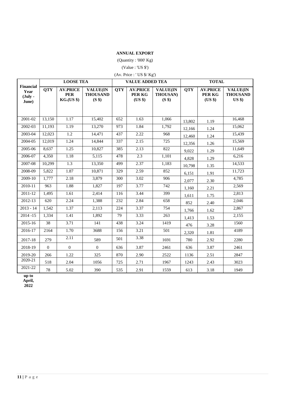### **ANNUAL EXPORT**

(Quantity : '000' Kg)

(Value : 'US \$')

(Av. Price : ' $\rm US$   $\$/$   $\rm Kg')$ 

|                                                       |            | <b>LOOSE TEA</b>                                   |                                                         |            | <b>VALUE ADDED TEA</b>               |                                           | <b>TOTAL</b> |                                      |                                                |  |
|-------------------------------------------------------|------------|----------------------------------------------------|---------------------------------------------------------|------------|--------------------------------------|-------------------------------------------|--------------|--------------------------------------|------------------------------------------------|--|
| <b>Financial</b><br>Year<br>$(\text{July -}$<br>June) | <b>QTY</b> | <b>AV.PRICE</b><br><b>PER</b><br><b>KG.(US \$)</b> | <b>VALUE(IN</b><br><b>THOUSAND</b><br>(S <sup>s</sup> ) | <b>QTY</b> | <b>AV.PRICE</b><br>PER KG<br>(US \$) | VALUE(IN<br>THOUSAN)<br>(S <sup>s</sup> ) | <b>QTY</b>   | <b>AV.PRICE</b><br>PER KG<br>(US \$) | <b>VALUE(IN</b><br><b>THOUSAND</b><br>$US$ \$) |  |
| 2001-02                                               | 13,150     | 1.17                                               | 15,402                                                  | 652        | 1.63                                 | 1,066                                     | 13,802       | 1.19                                 | 16,468                                         |  |
| 2002-03                                               | 11.193     | 1.19                                               | 13,270                                                  | 973        | 1.84                                 | 1,792                                     | 12,166       | 1.24                                 | 15,062                                         |  |
| 2003-04                                               | 12,023     | 1.2                                                | 14,471                                                  | 437        | 2.22                                 | 968                                       | 12,460       | 1.24                                 | 15.439                                         |  |
| 2004-05                                               | 12.019     | 1.24                                               | 14.844                                                  | 337        | 2.15                                 | 725                                       | 12,356       | 1.26                                 | 15,569                                         |  |
| 2005-06                                               | 8,637      | 1.25                                               | 10,827                                                  | 385        | 2.13                                 | 822                                       | 9,022        | 1.29                                 | 11,649                                         |  |
| 2006-07                                               | 4,350      | 1.18                                               | 5,115                                                   | 478        | 2.3                                  | 1,101                                     | 4,828        | 1.29                                 | 6,216                                          |  |
| 2007-08                                               | 10,299     | 1.3                                                | 13,350                                                  | 499        | 2.37                                 | 1,183                                     | 10,798       | 1.35                                 | 14,533                                         |  |
| 2008-09                                               | 5,822      | 1.87                                               | 10,871                                                  | 329        | 2.59                                 | 852                                       | 6,151        | 1.91                                 | 11,723                                         |  |
| 2009-10                                               | 1,777      | 2.18                                               | 3,879                                                   | 300        | 3.02                                 | 906                                       | 2,077        | 2.30                                 | 4,785                                          |  |
| 2010-11                                               | 963        | 1.88                                               | 1,827                                                   | 197        | 3.77                                 | 742                                       | 1,160        | 2.21                                 | 2,569                                          |  |
| 2011-12                                               | 1,495      | 1.61                                               | 2,414                                                   | 116        | 3.44                                 | 399                                       | 1,611        | 1.75                                 | 2,813                                          |  |
| 2012-13                                               | 620        | 2.24                                               | 1,388                                                   | 232        | 2.84                                 | 658                                       | 852          | 2.40                                 | 2.046                                          |  |
| $2013 - 14$                                           | 1,542      | 1.37                                               | 2,113                                                   | 224        | 3.37                                 | 754                                       | 1,766        | 1.62                                 | 2,867                                          |  |
| $2014 - 15$                                           | 1,334      | 1.41                                               | 1,892                                                   | 79         | 3.33                                 | 263                                       | 1,413        | 1.53                                 | 2,155                                          |  |
| 2015-16                                               | 38         | 3.71                                               | 141                                                     | 438        | 3.24                                 | 1419                                      | 476          | 3.28                                 | 1560                                           |  |
| 2016-17                                               | 2164       | 1.70                                               | 3688                                                    | 156        | 3.21                                 | 501                                       | 2,320        | 1.81                                 | 4189                                           |  |
| 2017-18                                               | 279        | 2.11                                               | 589                                                     | 501        | 3.38                                 | 1691                                      | 780          | 2.92                                 | 2280                                           |  |
| 2018-19                                               | $\Omega$   | $\Omega$                                           | $\theta$                                                | 636        | 3.87                                 | 2461                                      | 636          | 3.87                                 | 2461                                           |  |
| 2019-20                                               | 266        | 1.22                                               | 325                                                     | 870        | 2.90                                 | 2522                                      | 1136         | 2.51                                 | 2847                                           |  |
| 2020-21                                               | 518        | 2.04                                               | 1056                                                    | 725        | 2.71                                 | 1967                                      | 1243         | 2.43                                 | 3023                                           |  |
| $\overline{2021-22}$                                  | 78         | 5.02                                               | 390                                                     | 535        | 2.91                                 | 1559                                      | 613          | 3.18                                 | 1949                                           |  |

**up to April,** 

**2022**